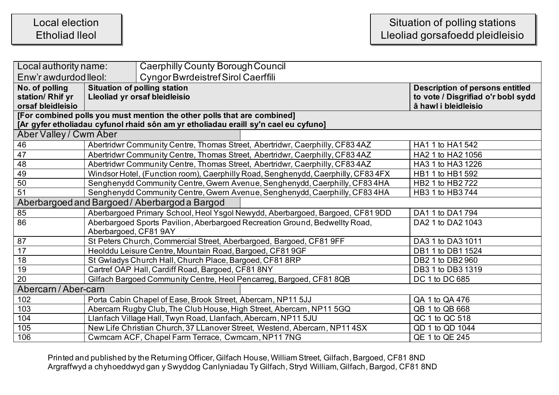## Local election Etholiad lleol

| Local authority name:                         |                                                                                                 | Caerphilly County Borough Council                                                   |                                        |
|-----------------------------------------------|-------------------------------------------------------------------------------------------------|-------------------------------------------------------------------------------------|----------------------------------------|
| Enw'r awdurdod lleol:                         |                                                                                                 | <b>Cyngor Bwrdeistref Sirol Caerffili</b>                                           |                                        |
| No. of polling                                | <b>Situation of polling station</b>                                                             |                                                                                     | <b>Description of persons entitled</b> |
| station/ Rhif yr                              | Lleoliad yr orsaf bleidleisio                                                                   |                                                                                     | to vote / Disgrifiad o'r bobl sydd     |
| orsaf bleidleisio                             |                                                                                                 |                                                                                     | â hawl i bleidleisio                   |
|                                               |                                                                                                 | [For combined polls you must mention the other polls that are combined]             |                                        |
|                                               |                                                                                                 | [Ar gyfer etholiadau cyfunol rhaid sôn am yr etholiadau eraill sy'n cael eu cyfuno] |                                        |
| Aber Valley / Cwm Aber                        |                                                                                                 |                                                                                     |                                        |
| 46                                            |                                                                                                 | Abertridwr Community Centre, Thomas Street, Abertridwr, Caerphilly, CF834AZ         | HA1 1 to HA1 542                       |
| 47                                            |                                                                                                 | Abertridwr Community Centre, Thomas Street, Abertridwr, Caerphilly, CF83 4AZ        | HA2 1 to HA2 1056                      |
| 48                                            |                                                                                                 | Abertridwr Community Centre, Thomas Street, Abertridwr, Caerphilly, CF83 4AZ        | HA3 1 to HA3 1226                      |
| 49                                            |                                                                                                 | Windsor Hotel, (Function room), Caerphilly Road, Senghenydd, Caerphilly, CF834FX    | HB1 1 to HB1 592                       |
| 50                                            |                                                                                                 | Senghenydd Community Centre, Gwern Avenue, Senghenydd, Caerphilly, CF83 4HA         | HB2 1 to HB2 722                       |
| $\overline{51}$                               | Senghenydd Community Centre, Gwern Avenue, Senghenydd, Caerphilly, CF83 4HA<br>HB3 1 to HB3 744 |                                                                                     |                                        |
| Aberbargoed and Bargoed / Aberbargod a Bargod |                                                                                                 |                                                                                     |                                        |
| 85                                            |                                                                                                 | Aberbargoed Primary School, Heol Ysgol Newydd, Aberbargoed, Bargoed, CF81 9DD       | DA1 1 to DA1 794                       |
| 86                                            |                                                                                                 | Aberbargoed Sports Pavilion, Aberbargoed Recreation Ground, Bedwellty Road,         | DA2 1 to DA2 1043                      |
|                                               | Aberbargoed, CF81 9AY                                                                           |                                                                                     |                                        |
| 87                                            |                                                                                                 | St Peters Church, Commercial Street, Aberbargoed, Bargoed, CF81 9FF                 | DA3 1 to DA3 1011                      |
| 17                                            |                                                                                                 | Heolddu Leisure Centre, Mountain Road, Bargoed, CF81 9GF                            | DB1 1 to DB1 1524                      |
| 18                                            |                                                                                                 | St Gwladys Church Hall, Church Place, Bargoed, CF81 8RP                             | DB2 1 to DB2 960                       |
| 19                                            |                                                                                                 | Cartref OAP Hall, Cardiff Road, Bargoed, CF81 8NY                                   | DB3 1 to DB3 1319                      |
| 20                                            |                                                                                                 | Gilfach Bargoed Community Centre, Heol Pencarreg, Bargoed, CF81 8QB                 | DC 1 to DC 685                         |
| Abercarn / Aber-carn                          |                                                                                                 |                                                                                     |                                        |
| 102                                           |                                                                                                 | Porta Cabin Chapel of Ease, Brook Street, Abercarn, NP11 5JJ                        | QA 1 to QA 476                         |
| 103                                           |                                                                                                 | Abercarn Rugby Club, The Club House, High Street, Abercarn, NP11 5GQ                | QB 1 to QB 668                         |
| 104                                           |                                                                                                 | Llanfach Village Hall, Twyn Road, Llanfach, Abercarn, NP11 5JU                      | QC 1 to QC 518                         |
| 105                                           |                                                                                                 | New Life Christian Church, 37 LLanover Street, Westend, Abercarn, NP11 4SX          | QD 1 to QD 1044                        |
| 106                                           |                                                                                                 | Cwmcarn ACF, Chapel Farm Terrace, Cwmcarn, NP11 7NG                                 | QE 1 to QE 245                         |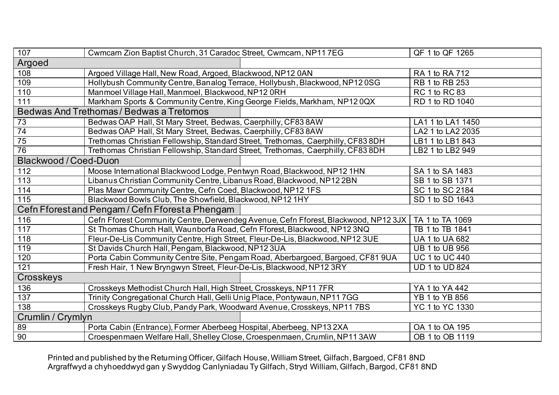| 107                                              | Cwmcarn Zion Baptist Church, 31 Caradoc Street, Cwmcarn, NP11 7EG                 | QF 1 to QF 1265       |
|--------------------------------------------------|-----------------------------------------------------------------------------------|-----------------------|
| Argoed                                           |                                                                                   |                       |
| 108                                              | Argoed Village Hall, New Road, Argoed, Blackwood, NP12 0AN                        | RA 1 to RA 712        |
| 109                                              | Hollybush Community Centre, Banalog Terrace, Hollybush, Blackwood, NP120SG        | RB 1 to RB 253        |
| 110                                              | Manmoel Village Hall, Manmoel, Blackwood, NP12 0RH                                | RC 1 to RC 83         |
| 111                                              | Markham Sports & Community Centre, King George Fields, Markham, NP120QX           | RD 1 to RD 1040       |
|                                                  | Bedwas And Trethomas / Bedwas a Tretomos                                          |                       |
| 73                                               | Bedwas OAP Hall, St Mary Street, Bedwas, Caerphilly, CF83 8AW                     | LA1 1 to LA1 1450     |
| $\overline{74}$                                  | Bedwas OAP Hall, St Mary Street, Bedwas, Caerphilly, CF83 8AW                     | LA2 1 to LA2 2035     |
| 75                                               | Trethomas Christian Fellowship, Standard Street, Trethomas, Caerphilly, CF83 8DH  | LB1 1 to LB1 843      |
| 76                                               | Trethomas Christian Fellowship, Standard Street, Trethomas, Caerphilly, CF83 8DH  | LB2 1 to LB2 949      |
| <b>Blackwood / Coed-Duon</b>                     |                                                                                   |                       |
| 112                                              | Moose International Blackwood Lodge, Pentwyn Road, Blackwood, NP12 1HN            | SA 1 to SA 1483       |
| 113                                              | Libanus Christian Community Centre, Libanus Road, Blackwood, NP12 2BN             | SB 1 to SB 1371       |
| 114                                              | Plas Mawr Community Centre, Cefn Coed, Blackwood, NP12 1FS                        | SC 1 to SC 2184       |
| 115                                              | Blackwood Bowls Club, The Showfield, Blackwood, NP12 1HY                          | SD 1 to SD 1643       |
| Cefn Fforest and Pengam / Cefn Fforest a Phengam |                                                                                   |                       |
| 116                                              | Cefn Fforest Community Centre, Derwendeg Avenue, Cefn Fforest, Blackwood, NP123JX | TA 1 to TA 1069       |
| 117                                              | St Thomas Church Hall, Waunborfa Road, Cefn Fforest, Blackwood, NP12 3NQ          | TB 1 to TB 1841       |
| 118                                              | Fleur-De-Lis Community Centre, High Street, Fleur-De-Lis, Blackwood, NP12 3UE     | UA 1 to UA 682        |
| 119                                              | St Davids Church Hall, Pengam, Blackwood, NP12 3UA                                | <b>UB 1 to UB 956</b> |
| 120                                              | Porta Cabin Community Centre Site, Pengam Road, Aberbargoed, Bargoed, CF81 9UA    | <b>UC 1 to UC 440</b> |
| $\overline{121}$                                 | Fresh Hair, 1 New Bryngwyn Street, Fleur-De-Lis, Blackwood, NP12 3RY              | UD 1 to UD 824        |
| Crosskeys                                        |                                                                                   |                       |
| 136                                              | Crosskeys Methodist Church Hall, High Street, Crosskeys, NP11 7FR                 | YA 1 to YA 442        |
| 137                                              | Trinity Congregational Church Hall, Gelli Unig Place, Pontywaun, NP117GG          | YB 1 to YB 856        |
| 138                                              | Crosskeys Rugby Club, Pandy Park, Woodward Avenue, Crosskeys, NP11 7BS            | YC 1 to YC 1330       |
| Crumlin / Crymlyn                                |                                                                                   |                       |
| 89                                               | Porta Cabin (Entrance), Former Aberbeeg Hospital, Aberbeeg, NP132XA               | OA 1 to OA 195        |
| 90                                               | Croespenmaen Welfare Hall, Shelley Close, Croespenmaen, Crumlin, NP11 3AW         | OB 1 to OB 1119       |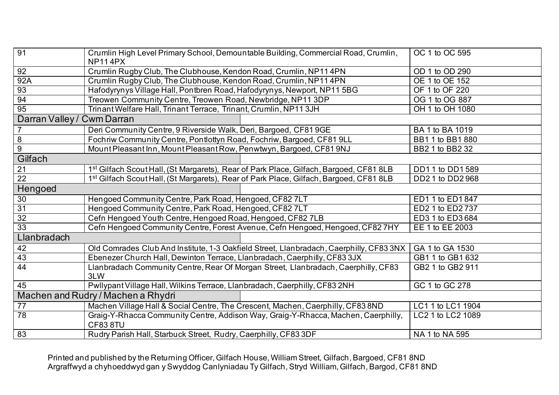| 91                                 | Crumlin High Level Primary School, Demountable Building, Commercial Road, Crumlin,<br><b>NP114PX</b> | OC 1 to OC 595    |
|------------------------------------|------------------------------------------------------------------------------------------------------|-------------------|
| 92                                 | Crumlin Rugby Club, The Clubhouse, Kendon Road, Crumlin, NP11 4PN                                    | OD 1 to OD 290    |
| 92A                                | Crumlin Rugby Club, The Clubhouse, Kendon Road, Crumlin, NP11 4PN                                    | OE 1 to OE 152    |
| 93                                 | Hafodyrynys Village Hall, Pontbren Road, Hafodyrynys, Newport, NP11 5BG                              | OF 1 to OF 220    |
| 94                                 | Treowen Community Centre, Treowen Road, Newbridge, NP11 3DP                                          | OG 1 to OG 887    |
| $\overline{95}$                    | Trinant Welfare Hall, Trinant Terrace, Trinant, Crumlin, NP11 3JH                                    | OH 1 to OH 1080   |
| Darran Valley / Cwm Darran         |                                                                                                      |                   |
|                                    | Deri Community Centre, 9 Riverside Walk, Deri, Bargoed, CF81 9GE                                     | BA 1 to BA 1019   |
| 8                                  | Fochriw Community Centre, Pontlottyn Road, Fochriw, Bargoed, CF81 9LL                                | BB1 1 to BB1 880  |
| 9                                  | Mount Pleasant Inn, Mount Pleasant Row, Penwtwyn, Bargoed, CF81 9NJ                                  | BB2 1 to BB2 32   |
| Gilfach                            |                                                                                                      |                   |
| 21                                 | 1 <sup>st</sup> Gilfach Scout Hall, (St Margarets), Rear of Park Place, Gilfach, Bargoed, CF81 8LB   | DD11 to DD1 589   |
| $\overline{22}$                    | 1 <sup>st</sup> Gilfach Scout Hall, (St Margarets), Rear of Park Place, Gilfach, Bargoed, CF81 8LB   | DD2 1 to DD2 968  |
| Hengoed                            |                                                                                                      |                   |
| 30                                 | Hengoed Community Centre, Park Road, Hengoed, CF82 7LT                                               | ED1 1 to ED1 847  |
| $\overline{31}$                    | Hengoed Community Centre, Park Road, Hengoed, CF82 7LT                                               | ED2 1 to ED2 737  |
| $\overline{32}$                    | Cefn Hengoed Youth Centre, Hengoed Road, Hengoed, CF82 7LB                                           | ED3 1 to ED3 684  |
| $\overline{33}$                    | Cefn Hengoed Community Centre, Forest Avenue, Cefn Hengoed, Hengoed, CF82 7HY                        | EE 1 to EE 2003   |
| Llanbradach                        |                                                                                                      |                   |
| 42                                 | Old Comrades Club And Institute, 1-3 Oakfield Street, Llanbradach, Caerphilly, CF83 3NX              | GA 1 to GA 1530   |
| 43                                 | Ebenezer Church Hall, Dewinton Terrace, Llanbradach, Caerphilly, CF83 3JX                            | GB1 1 to GB1 632  |
| 44                                 | Llanbradach Community Centre, Rear Of Morgan Street, Llanbradach, Caerphilly, CF83<br>3LW            | GB2 1 to GB2 911  |
| 45                                 | Pwllypant Village Hall, Wilkins Terrace, Llanbradach, Caerphilly, CF83 2NH                           | GC 1 to GC 278    |
| Machen and Rudry / Machen a Rhydri |                                                                                                      |                   |
| 77                                 | Machen Village Hall & Social Centre, The Crescent, Machen, Caerphilly, CF83 8ND                      | LC1 1 to LC1 1904 |
| 78                                 | Graig-Y-Rhacca Community Centre, Addison Way, Graig-Y-Rhacca, Machen, Caerphilly,<br>CF838TU         | LC2 1 to LC2 1089 |
| 83                                 | Rudry Parish Hall, Starbuck Street, Rudry, Caerphilly, CF83 3DF                                      | NA 1 to NA 595    |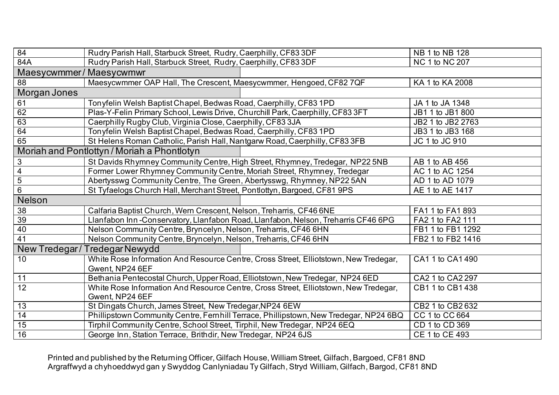| 84                     | Rudry Parish Hall, Starbuck Street, Rudry, Caerphilly, CF83 3DF                       | NB 1 to NB 128    |
|------------------------|---------------------------------------------------------------------------------------|-------------------|
| 84A                    | Rudry Parish Hall, Starbuck Street, Rudry, Caerphilly, CF83 3DF                       | NC 1 to NC 207    |
| Maesycwmmer/Maesycwmwr |                                                                                       |                   |
| 88                     | Maesycwmmer OAP Hall, The Crescent, Maesycwmmer, Hengoed, CF82 7QF                    | KA 1 to KA 2008   |
| Morgan Jones           |                                                                                       |                   |
| 61                     | Tonyfelin Welsh Baptist Chapel, Bedwas Road, Caerphilly, CF83 1PD                     | JA 1 to JA 1348   |
| 62                     | Plas-Y-Felin Primary School, Lewis Drive, Churchill Park, Caerphilly, CF83 3FT        | JB1 1 to JB1 800  |
| 63                     | Caerphilly Rugby Club, Virginia Close, Caerphilly, CF83 3JA                           | JB2 1 to JB2 2763 |
| 64                     | Tonyfelin Welsh Baptist Chapel, Bedwas Road, Caerphilly, CF83 1PD                     | JB3 1 to JB3 168  |
| 65                     | St Helens Roman Catholic, Parish Hall, Nantgarw Road, Caerphilly, CF83 3FB            | JC 1 to JC 910    |
|                        | Moriah and Pontlottyn / Moriah a Phontlotyn                                           |                   |
| 3                      | St Davids Rhymney Community Centre, High Street, Rhymney, Tredegar, NP22 5NB          | AB 1 to AB 456    |
| $\overline{4}$         | Former Lower Rhymney Community Centre, Moriah Street, Rhymney, Tredegar               | AC 1 to AC 1254   |
| 5                      | Abertysswg Community Centre, The Green, Abertysswg, Rhymney, NP22 5AN                 | AD 1 to AD 1079   |
| 6                      | St Tyfaelogs Church Hall, Merchant Street, Pontlottyn, Bargoed, CF81 9PS              | AE 1 to AE 1417   |
| Nelson                 |                                                                                       |                   |
| 38                     | Calfaria Baptist Church, Wern Crescent, Nelson, Treharris, CF46 6NE                   | FA1 1 to FA1 893  |
| 39                     | Llanfabon Inn-Conservatory, Llanfabon Road, Llanfabon, Nelson, Treharris CF46 6PG     | FA2 1 to FA2 111  |
| 40                     | Nelson Community Centre, Bryncelyn, Nelson, Treharris, CF46 6HN                       | FB1 1 to FB1 1292 |
| 41                     | Nelson Community Centre, Bryncelyn, Nelson, Treharris, CF46 6HN                       | FB2 1 to FB2 1416 |
|                        | New Tredegar / Tredegar Newydd                                                        |                   |
| 10                     | White Rose Information And Resource Centre, Cross Street, Elliotstown, New Tredegar,  | CA1 1 to CA1 490  |
|                        | Gwent, NP24 6EF                                                                       |                   |
| 11                     | Bethania Pentecostal Church, Upper Road, Elliotstown, New Tredegar, NP24 6ED          | CA2 1 to CA2 297  |
| $\overline{12}$        | White Rose Information And Resource Centre, Cross Street, Elliotstown, New Tredegar,  | CB1 1 to CB1 438  |
|                        | Gwent, NP24 6EF                                                                       |                   |
| 13                     | St Dingats Church, James Street, New Tredegar, NP24 6EW                               | CB2 1 to CB2 632  |
| 14                     | Phillipstown Community Centre, Fernhill Terrace, Phillipstown, New Tredegar, NP24 6BQ | CC 1 to CC 664    |
| 15                     | Tirphil Community Centre, School Street, Tirphil, New Tredegar, NP24 6EQ              | CD 1 to CD 369    |
| 16                     | George Inn, Station Terrace, Brithdir, New Tredegar, NP24 6JS                         | CE 1 to CE 493    |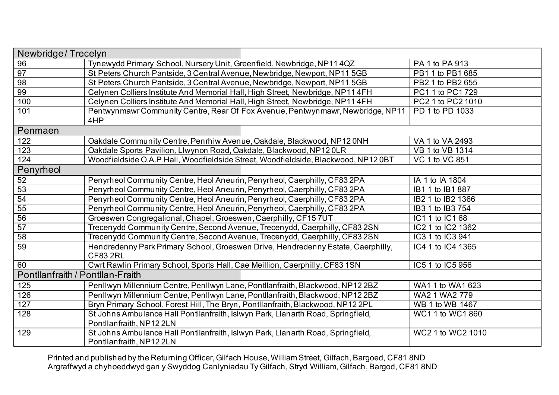| Newbridge/Trecelyn               |                                                                                                              |                   |
|----------------------------------|--------------------------------------------------------------------------------------------------------------|-------------------|
| 96                               | Tynewydd Primary School, Nursery Unit, Greenfield, Newbridge, NP11 4QZ                                       | PA 1 to PA 913    |
| 97                               | St Peters Church Pantside, 3 Central Avenue, Newbridge, Newport, NP11 5GB                                    | PB1 1 to PB1 685  |
| 98                               | St Peters Church Pantside, 3 Central Avenue, Newbridge, Newport, NP11 5GB                                    | PB2 1 to PB2 655  |
| 99                               | Celynen Colliers Institute And Memorial Hall, High Street, Newbridge, NP11 4FH                               | PC1 1 to PC1 729  |
| 100                              | Celynen Colliers Institute And Memorial Hall, High Street, Newbridge, NP114FH                                | PC2 1 to PC2 1010 |
| 101                              | Pentwynmawr Community Centre, Rear Of Fox Avenue, Pentwynmawr, Newbridge, NP11<br>4HP                        | PD 1 to PD 1033   |
| Penmaen                          |                                                                                                              |                   |
| 122                              | Oakdale Community Centre, Penrhiw Avenue, Oakdale, Blackwood, NP12 0NH                                       | VA 1 to VA 2493   |
| 123                              | Oakdale Sports Pavilion, Llwynon Road, Oakdale, Blackwood, NP12 0LR                                          | VB 1 to VB 1314   |
| 124                              | Woodfieldside O.A.P Hall, Woodfieldside Street, Woodfieldside, Blackwood, NP120BT                            | VC 1 to VC 851    |
| Penyrheol                        |                                                                                                              |                   |
| 52                               | Penyrheol Community Centre, Heol Aneurin, Penyrheol, Caerphilly, CF83 2PA                                    | IA 1 to IA 1804   |
| 53                               | Penyrheol Community Centre, Heol Aneurin, Penyrheol, Caerphilly, CF83 2PA                                    | IB1 1 to IB1 887  |
| 54                               | Penyrheol Community Centre, Heol Aneurin, Penyrheol, Caerphilly, CF83 2PA                                    | IB2 1 to IB2 1366 |
| 55                               | Penyrheol Community Centre, Heol Aneurin, Penyrheol, Caerphilly, CF83 2PA                                    | IB3 1 to IB3 754  |
| 56                               | Groeswen Congregational, Chapel, Groeswen, Caerphilly, CF157UT                                               | IC1 1 to IC1 68   |
| 57                               | Trecenydd Community Centre, Second Avenue, Trecenydd, Caerphilly, CF83 2SN                                   | IC2 1 to IC2 1362 |
| 58                               | Trecenydd Community Centre, Second Avenue, Trecenydd, Caerphilly, CF83 2SN                                   | IC3 1 to IC3 941  |
| 59                               | Hendredenny Park Primary School, Groeswen Drive, Hendredenny Estate, Caerphilly,<br><b>CF83 2RL</b>          | IC4 1 to IC4 1365 |
| 60                               | Cwrt Rawlin Primary School, Sports Hall, Cae Meillion, Caerphilly, CF83 1SN                                  | IC5 1 to IC5 956  |
| Pontllanfraith / Pontllan-Fraith |                                                                                                              |                   |
| 125                              | Penllwyn Millennium Centre, Penllwyn Lane, Pontllanfraith, Blackwood, NP12 2BZ                               | WA1 1 to WA1 623  |
| 126                              | Penllwyn Millennium Centre, Penllwyn Lane, Pontllanfraith, Blackwood, NP12 2BZ                               | WA2 1 WA2 779     |
| 127                              | Bryn Primary School, Forest Hill, The Bryn, Pontllanfraith, Blackwood, NP12 2PL                              | WB 1 to WB 1467   |
| 128                              | St Johns Ambulance Hall Pontllanfraith, Islwyn Park, Llanarth Road, Springfield,                             | WC1 1 to WC1 860  |
|                                  | Pontllanfraith, NP12 2LN                                                                                     |                   |
| 129                              | St Johns Ambulance Hall Pontllanfraith, Islwyn Park, Llanarth Road, Springfield,<br>Pontllanfraith, NP12 2LN | WC2 1 to WC2 1010 |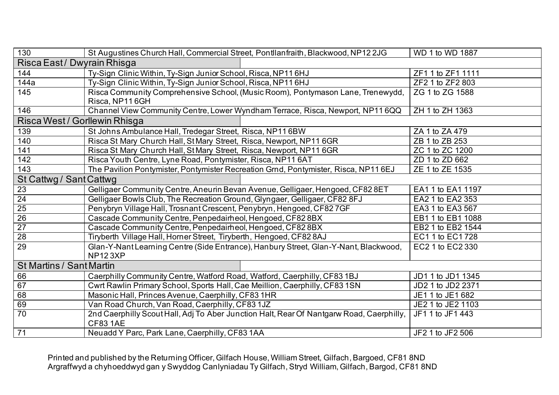| 130                           | St Augustines Church Hall, Commercial Street, Pontllanfraith, Blackwood, NP122JG         | WD 1 to WD 1887   |  |
|-------------------------------|------------------------------------------------------------------------------------------|-------------------|--|
| Risca East/Dwyrain Rhisga     |                                                                                          |                   |  |
| 144                           | Ty-Sign Clinic Within, Ty-Sign Junior School, Risca, NP116HJ                             | ZF1 1 to ZF1 1111 |  |
| 144a                          | Ty-Sign Clinic Within, Ty-Sign Junior School, Risca, NP116HJ                             | ZF2 1 to ZF2 803  |  |
| 145                           | Risca Community Comprehensive School, (Music Room), Pontymason Lane, Trenewydd,          | ZG 1 to ZG 1588   |  |
|                               | Risca, NP116GH                                                                           |                   |  |
| 146                           | Channel View Community Centre, Lower Wyndham Terrace, Risca, Newport, NP116QQ            | ZH 1 to ZH 1363   |  |
| Risca West / Gorllewin Rhisga |                                                                                          |                   |  |
| 139                           | St Johns Ambulance Hall, Tredegar Street, Risca, NP116BW                                 | ZA 1 to ZA 479    |  |
| 140                           | Risca St Mary Church Hall, St Mary Street, Risca, Newport, NP11 6GR                      | ZB 1 to ZB 253    |  |
| 141                           | Risca St Mary Church Hall, St Mary Street, Risca, Newport, NP11 6GR                      | ZC 1 to ZC 1200   |  |
| 142                           | Risca Youth Centre, Lyne Road, Pontymister, Risca, NP11 6AT                              | ZD 1 to ZD 662    |  |
| 143                           | The Pavilion Pontymister, Pontymister Recreation Grnd, Pontymister, Risca, NP116EJ       | ZE 1 to ZE 1535   |  |
| St Cattwg / Sant Cattwg       |                                                                                          |                   |  |
| 23                            | Gelligaer Community Centre, Aneurin Bevan Avenue, Gelligaer, Hengoed, CF82 8ET           | EA1 1 to EA1 1197 |  |
| 24                            | Gelligaer Bowls Club, The Recreation Ground, Glyngaer, Gelligaer, CF82 8FJ               | EA2 1 to EA2 353  |  |
| $\overline{25}$               | Penybryn Village Hall, Trosnant Crescent, Penybryn, Hengoed, CF827GF                     | EA3 1 to EA3 567  |  |
| 26                            | Cascade Community Centre, Penpedairheol, Hengoed, CF82 8BX                               | EB1 1 to EB1 1088 |  |
| $\overline{27}$               | Cascade Community Centre, Penpedairheol, Hengoed, CF82 8BX                               | EB2 1 to EB2 1544 |  |
| $\overline{28}$               | Tiryberth Village Hall, Horner Street, Tiryberth, Hengoed, CF82 8AJ                      | EC1 1 to EC1 728  |  |
| 29                            | Glan-Y-Nant Learning Centre (Side Entrance), Hanbury Street, Glan-Y-Nant, Blackwood,     | EC2 1 to EC2 330  |  |
|                               | <b>NP123XP</b>                                                                           |                   |  |
|                               | <b>St Martins / Sant Martin</b>                                                          |                   |  |
| 66                            | Caerphilly Community Centre, Watford Road, Watford, Caerphilly, CF83 1BJ                 | JD1 1 to JD1 1345 |  |
| 67                            | Cwrt Rawlin Primary School, Sports Hall, Cae Meillion, Caerphilly, CF83 1SN              | JD2 1 to JD2 2371 |  |
| 68                            | Masonic Hall, Princes Avenue, Caerphilly, CF83 1HR                                       | JE1 1 to JE1 682  |  |
| 69                            | Van Road Church, Van Road, Caerphilly, CF83 1JZ                                          | JE2 1 to JE2 1103 |  |
| 70                            | 2nd Caerphilly Scout Hall, Adj To Aber Junction Halt, Rear Of Nantgarw Road, Caerphilly, | JF1 1 to JF1 443  |  |
|                               | <b>CF83 1AE</b>                                                                          |                   |  |
| 71                            | Neuadd Y Parc, Park Lane, Caerphilly, CF83 1AA                                           | JF2 1 to JF2 506  |  |